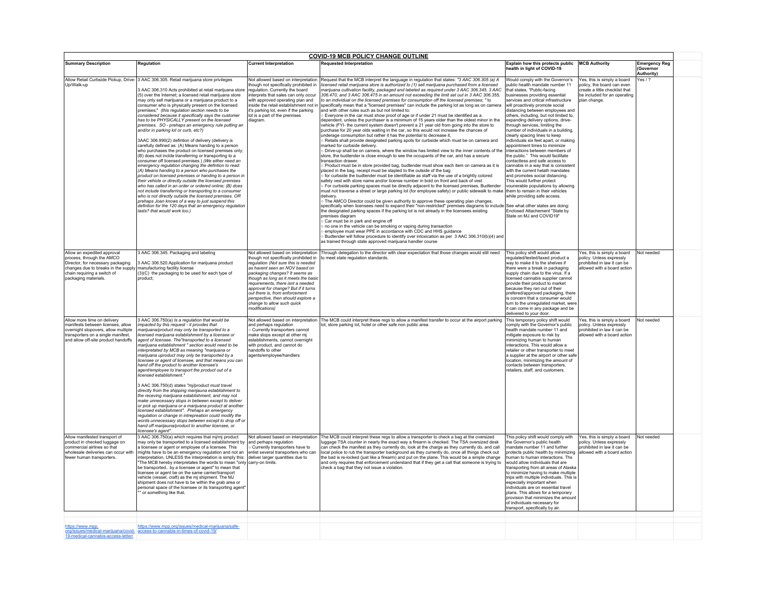| <b>COVID-19 MCB POLICY CHANGE OUTLINE</b>                                                                                                                                                   |                                                                                                                                                                                                                                                                                                                                                                                                                                                                                                                                                                                                                                                                                                                                                                                                                                                                                                                                                                                                                                                                                                                                                                                                                                                                                                                                                                                                                                      |                                                                                                                                                                                                                                                                                                                                                                                                                                      |                                                                                                                                                                                                                                                                                                                                                                                                                                                                                                                                                                                                                                                                                                                                                                                                                                                                                                                                                                                                                                                                                                                                                                                                                                                                                                                                                                                                                                                                                                                                                                                                                                                                                                                                                                                                                                                                                                                                                                                                                                                                                                                                                                                                                                                                                                                                                                                                                                                                                                                                                                                                                                                                                                         |                                                                                                                                                                                                                                                                                                                                                                                                                                                                                                                                                                                                                                                                                                                                                                                                                                                                                                                                                          |                                                                                                                                             |                                                 |  |  |
|---------------------------------------------------------------------------------------------------------------------------------------------------------------------------------------------|--------------------------------------------------------------------------------------------------------------------------------------------------------------------------------------------------------------------------------------------------------------------------------------------------------------------------------------------------------------------------------------------------------------------------------------------------------------------------------------------------------------------------------------------------------------------------------------------------------------------------------------------------------------------------------------------------------------------------------------------------------------------------------------------------------------------------------------------------------------------------------------------------------------------------------------------------------------------------------------------------------------------------------------------------------------------------------------------------------------------------------------------------------------------------------------------------------------------------------------------------------------------------------------------------------------------------------------------------------------------------------------------------------------------------------------|--------------------------------------------------------------------------------------------------------------------------------------------------------------------------------------------------------------------------------------------------------------------------------------------------------------------------------------------------------------------------------------------------------------------------------------|---------------------------------------------------------------------------------------------------------------------------------------------------------------------------------------------------------------------------------------------------------------------------------------------------------------------------------------------------------------------------------------------------------------------------------------------------------------------------------------------------------------------------------------------------------------------------------------------------------------------------------------------------------------------------------------------------------------------------------------------------------------------------------------------------------------------------------------------------------------------------------------------------------------------------------------------------------------------------------------------------------------------------------------------------------------------------------------------------------------------------------------------------------------------------------------------------------------------------------------------------------------------------------------------------------------------------------------------------------------------------------------------------------------------------------------------------------------------------------------------------------------------------------------------------------------------------------------------------------------------------------------------------------------------------------------------------------------------------------------------------------------------------------------------------------------------------------------------------------------------------------------------------------------------------------------------------------------------------------------------------------------------------------------------------------------------------------------------------------------------------------------------------------------------------------------------------------------------------------------------------------------------------------------------------------------------------------------------------------------------------------------------------------------------------------------------------------------------------------------------------------------------------------------------------------------------------------------------------------------------------------------------------------------------------------------------------------|----------------------------------------------------------------------------------------------------------------------------------------------------------------------------------------------------------------------------------------------------------------------------------------------------------------------------------------------------------------------------------------------------------------------------------------------------------------------------------------------------------------------------------------------------------------------------------------------------------------------------------------------------------------------------------------------------------------------------------------------------------------------------------------------------------------------------------------------------------------------------------------------------------------------------------------------------------|---------------------------------------------------------------------------------------------------------------------------------------------|-------------------------------------------------|--|--|
| <b>Summary Description</b>                                                                                                                                                                  | Regulation                                                                                                                                                                                                                                                                                                                                                                                                                                                                                                                                                                                                                                                                                                                                                                                                                                                                                                                                                                                                                                                                                                                                                                                                                                                                                                                                                                                                                           | <b>Current Interpretation</b>                                                                                                                                                                                                                                                                                                                                                                                                        | <b>Requested Interpretation</b>                                                                                                                                                                                                                                                                                                                                                                                                                                                                                                                                                                                                                                                                                                                                                                                                                                                                                                                                                                                                                                                                                                                                                                                                                                                                                                                                                                                                                                                                                                                                                                                                                                                                                                                                                                                                                                                                                                                                                                                                                                                                                                                                                                                                                                                                                                                                                                                                                                                                                                                                                                                                                                                                         | Explain how this protects public MCB Authority<br>health in light of COVID-19                                                                                                                                                                                                                                                                                                                                                                                                                                                                                                                                                                                                                                                                                                                                                                                                                                                                            |                                                                                                                                             | <b>Emergency Reg</b><br>(Governor<br>Authority) |  |  |
| Up/Walk-up                                                                                                                                                                                  | Allow Retail Curbside Pickup, Drive- 3 AAC 306.305. Retail marijuana store privileges<br>3 AAC 306.310 Acts prohibited at retail marijuana store<br>(5) over the Internet; a licensed retail marijuana store<br>may only sell marijuana or a marijuana product to a<br>consumer who is physically present on the licensed<br>premises;" (this regulation section needs to be<br>considered because it specifically says the customer<br>has to be PHYSICALLY present on the licensed<br>premises. SO - prehaps an emergency rule putting an<br>and/or in parking lot or curb, etc?)<br>3AAC 306.990(2) defintion of delivery (delivery is<br>carefully defined as: (A) Means handing to a person<br>who purchases the product on licensed premises only;<br>(B) does not inclde transferring or transporting to a<br>consumer off licensed premises.) (We either need an<br>emergency regulation changing the defintion to read:<br>(A) Means handing to a person who purchases the<br>product on licensed premises or handing to a person in<br>their vehicle or directly outside the licensed premises<br>who has called in an order or ordered online; (B) does<br>not include transferring or transporting to a consumer<br>who is not directly outside the licensed premises. OR<br>prehaps Joan knows of a way to just suspend this<br>defintion for the 120 days that an emergency regulation<br>lasts? that would work too.) | Not allowed based on interpretation<br>though not specifically prohibited in<br>regulation. Currently the board<br>interprets that sales can only occur<br>with approved operating plan and<br>inside the retail establishment not in<br>it's parking lot, even if the parking<br>lot is a part of the premises<br>diagram.                                                                                                          | Request that the MCB interpret the language in regulation that states: "3 AAC 306.305 (a) A<br>licensed retail marijuana store is authorized to (1) sell marijuana purchased from a licensed<br>narijuana cultivation facility, packaged and labeled as required under 3 AAC 306.345, 3 AAC<br>306.470, and 3 AAC 306.475 in an amount not exceeding the limit set out in 3 AAC 306.355,<br>to an individual on the licensed premises for consumption off the licensed premises; " to<br>specifically mean that a "licensed premises" can include the parking lot as long as on camera<br>and with other rules such as but not limited to:<br>Everyone in the car must show proof of age or if under 21 must be identified as a<br>dependent, unless the purchaser is a minimum of 15 years older than the oldest minor in the<br>vehicle (FYI- the current system doesn't prevent a 21 year old from going into the store to<br>purchase for 20 year olds waiting in the car, so this would not increase the chances of<br>underage consumption but rather it has the potential to decrease it,<br>Retails shall provide designated parking spots for curbside which must be on camera and<br>marked for curbside delivery.<br>Drive-up shall be on camera, where the window has limited view to the inner contents of the<br>store, the budtender is close enough to see the occupants of the car, and has a secure<br>transaction drawer.<br>Product must be in store provided bag, budtender must show each item on camera as it is<br>placed in the bag, receipt must be stapled to the outside of the bag<br>for curbside the budtender must be identifiable as staff via the use of a brightly colored<br>safety vest with store name and/or license number in bold on front and back of vest<br>For curbside parking spaces must be directly adjacent to the licensed premises. Budtender<br>must not traverse a street or large parking lot (for employee safety) or public sidewalk to make<br>delivery<br>The AMCO Director could be given authority to approve these operating plan changes,<br>specifically when licensees need to expand their "non-restricted" premises diagrams to include See what other states are doing:<br>the designated parking spaces if the parking lot is not already in the licensees existing<br>premises diagram<br>Car must be in park and engine off<br>no one in the vehicle can be smoking or vaping during transaction<br>employee must wear PPE in accordance with CDC and HHS guidance<br>Budtender will follow procedure to identify over intoxication as per 3 AAC 306.310(b)(4) and<br>as trained through state approved marijuana handler course | Would comply with the Governor's<br>oublic health mandate number 11<br>that states, "Public-facing<br>businesses providing essential<br>services and critical infrastructure<br>will proactively promote social<br>distancing between employees and<br>others, including, but not limited to,<br>expanding delivery options, drive-<br>through services, limiting the<br>number of individuals in a building,<br>clearly spacing lines to keep<br>individuals six feet apart, or making<br>appointment times to minimize<br>interactions between members of<br>the public." This would facilitate<br>contactless and safe access to<br>cannabis in a way that is consistent<br>with the current helath mandates<br>and promotes social distancing.<br>This would further protect<br>vounerable populations by allowing<br>them to remain in their vehicles<br>while providing safe access.<br>Enclosed Attachement "State by<br>State on MJ and COVID19" | Yes, this is simply a board<br>policy, the board can even<br>create a little checklist that<br>be included for an operating<br>plan change. | Yes / ?                                         |  |  |
| Allow an expedited approval<br>process, through the AMCO<br>Director, for necessary packaging<br>changes due to breaks in the supply<br>chain requiring a switch of<br>packaging materials. | 3 AAC 306.345. Packaging and labeling<br>3 AAC 306.520.Application for marijuana product<br>manufacturing facility license<br>(3)(C) the packaging to be used for each type of<br>product:                                                                                                                                                                                                                                                                                                                                                                                                                                                                                                                                                                                                                                                                                                                                                                                                                                                                                                                                                                                                                                                                                                                                                                                                                                           | Not allowed based on interpretation<br>though not specifically prohibited in<br>regulation (Not sure this is needed<br>as havent seen an NOV based on<br>packaging changes? It seems as<br>though as long as it meets the basic<br>requirements, there isnt a needed<br>approval for change? But if it turns<br>out there is, from enforcement<br>perspective, then should explore a<br>change to allow such quick<br>modifications) | Through delegation to the director with clear expectation that those changes would still need<br>to meet state regulation standards.                                                                                                                                                                                                                                                                                                                                                                                                                                                                                                                                                                                                                                                                                                                                                                                                                                                                                                                                                                                                                                                                                                                                                                                                                                                                                                                                                                                                                                                                                                                                                                                                                                                                                                                                                                                                                                                                                                                                                                                                                                                                                                                                                                                                                                                                                                                                                                                                                                                                                                                                                                    | This policy shift would allow<br>regulated/tested/taxed product a<br>way to make it to the shelves if<br>there were a break in packaging<br>supply chain due to the virus. If a<br>licensed cannabis supplier cannot<br>provide their product to market<br>because they ran out of their<br>prefered/approved packaging, there<br>is concern that a consumer would<br>turn to the unregulated market, were<br>it can come in any package and be<br>delivered to your door.                                                                                                                                                                                                                                                                                                                                                                                                                                                                               | Yes, this is simply a board<br>policy. Unless expressly<br>prohibited in law it can be<br>allowed with a board action                       | Not needed                                      |  |  |
| Allow more time on delivery<br>manifests between licenses, allow<br>overnight stopovers, allow multiple<br>transporters on a single manifest,<br>and allow off-site product handoffs        | 3 AAC 306.750(a) Is a regulation that would be<br>impacted by this request - it provdes that<br>marijuana/product may only be transported to a<br>licensed marijuana establishment by a licensee or<br>agent of licensee. The"transported to a licensed<br>marijuana establishment " section would need to be<br>interpretated by MCB as meaning "marijuana or<br>marijuana uproduct may only be transported by a<br>licensee or agent of licensee, and that means you can<br>hand off the product to another licensee's<br>agent/employee to transport the product out of a<br>licensed establishment."<br>3 AAC 306.750(d) states "mj/product must travel<br>directly from the shipping marijauna establishment to<br>the receving marijuana establishment, and may not<br>make unnecessary stops in between except to deliver<br>or pick up marijuana or a marijuana product at another<br>licensed establishment". Prehaps an emergency<br>regulation or change in intrepreation could modify the<br>words unnecessary stops between except to drop off or<br>hand off marijauna/product to another licensee, or<br>licensee's agent".                                                                                                                                                                                                                                                                                           | Not allowed based on interpretation<br>and perhaps regulation<br><b>Currently transporters cannot</b><br>make stops except at other mj<br>establishments, cannot overnight<br>with product, and cannot do<br>handoffs to other<br>agents/employee/handlers                                                                                                                                                                           | The MCB could interpret these regs to allow a manifest transfer to occur at the airport parking This temporary policy shift would<br>lot, store parking lot, hotel or other safe non public area.                                                                                                                                                                                                                                                                                                                                                                                                                                                                                                                                                                                                                                                                                                                                                                                                                                                                                                                                                                                                                                                                                                                                                                                                                                                                                                                                                                                                                                                                                                                                                                                                                                                                                                                                                                                                                                                                                                                                                                                                                                                                                                                                                                                                                                                                                                                                                                                                                                                                                                       | comply with the Governor's public<br>health mandate number 11 and<br>mitigate exposure to risk by<br>minimizing human to human<br>interactions. This would allow a<br>retailer or other transporter to meet<br>a supplier at the airport or other safe<br>location, minimizing the amount of<br>contacts between transporters,<br>retailers, staff, and customers.                                                                                                                                                                                                                                                                                                                                                                                                                                                                                                                                                                                       | Yes, this is simply a board<br>policy. Unless expressly<br>prohibited in law it can be<br>allowed with a board action                       | Not needed                                      |  |  |
| Allow manifested transport of<br>product in checked luggage on<br>commercial airlines so that<br>wholesale deliveries can occur with<br>fewer human transporters                            | 3 AAC 306.750(a) which requires that mj/mj product<br>may only be transported to a licensed establishment by<br>a licensee or agent or employee of a licensee. This<br>mights have to be an emergency regulation and not an<br>interpretation, UNLESS the interpretation is simply this: deliver larger quantities due to<br>"The MCB hereby interpretates the words to mean "only carry-on limits.<br>be transported by a licensee or agent" to mean that<br>licensee or agent be on the same carrier/transport<br>vehicle (vessel, craft) as the mi shipment. The MJ<br>shipment does not have to be within the grab area or<br>personal space of the licensee or its transporting agent<br>or something like that.                                                                                                                                                                                                                                                                                                                                                                                                                                                                                                                                                                                                                                                                                                                | Not allowed based on interpretation<br>and perhaps regulation<br>Currently transporters have to<br>enlist several transporters who can                                                                                                                                                                                                                                                                                               | The MCB could interpret these regs to allow a transporter to check a bag at the oversized<br>luggage TSA counter in nearly the exact way a firearm is checked. The TSA oversized desk<br>can check the manifest as they currently do, look at the charge as they currently do, and call<br>local police to rub the transporter background as they currently do, once all things check out<br>the bad is re-locked (just like a firearm) and put on the plane. This would be a simple change<br>and only requires that enforcement understand that if they get a call that someone is trying to<br>check a bag that they not issue a violation.                                                                                                                                                                                                                                                                                                                                                                                                                                                                                                                                                                                                                                                                                                                                                                                                                                                                                                                                                                                                                                                                                                                                                                                                                                                                                                                                                                                                                                                                                                                                                                                                                                                                                                                                                                                                                                                                                                                                                                                                                                                          | This policy shift would comply with<br>the Governor's public health<br>mandate number 11 and further<br>protects public health by minimizing<br>uman to human interactions. Ths<br>would allow individuals that are<br>transporting from all areas of Alaska<br>to minimize having to make multiple<br>trips with multiple individuals. This is<br>especially important when<br>individuals are on essential travel<br>plans. This allows for a temporary<br>provision that minimizes the amount<br>of individuals necessary for<br>transport, specifically by air.                                                                                                                                                                                                                                                                                                                                                                                      | Yes, this is simply a board<br>policy. Unless expressly<br>prohibited in law it can be<br>allowed with a board action                       | Not needed                                      |  |  |
| https://www.mpp.                                                                                                                                                                            | https://www.mpp.org/issues/medical-marijuana/safe-<br>org/issues/medical-marijuana/covid- access-to-cannabis-in-times-of-covid-19/                                                                                                                                                                                                                                                                                                                                                                                                                                                                                                                                                                                                                                                                                                                                                                                                                                                                                                                                                                                                                                                                                                                                                                                                                                                                                                   |                                                                                                                                                                                                                                                                                                                                                                                                                                      |                                                                                                                                                                                                                                                                                                                                                                                                                                                                                                                                                                                                                                                                                                                                                                                                                                                                                                                                                                                                                                                                                                                                                                                                                                                                                                                                                                                                                                                                                                                                                                                                                                                                                                                                                                                                                                                                                                                                                                                                                                                                                                                                                                                                                                                                                                                                                                                                                                                                                                                                                                                                                                                                                                         |                                                                                                                                                                                                                                                                                                                                                                                                                                                                                                                                                                                                                                                                                                                                                                                                                                                                                                                                                          |                                                                                                                                             |                                                 |  |  |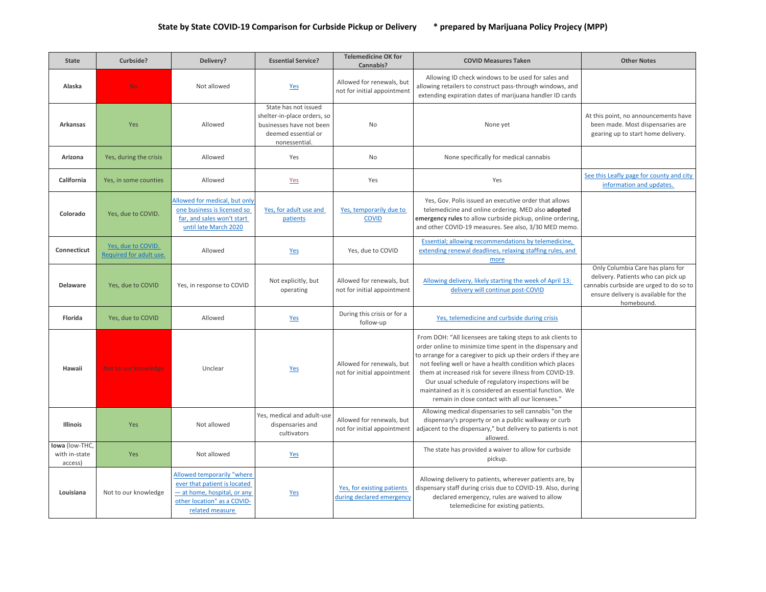| <b>State</b>                               | Curbside?                                     | Delivery?                                                                                                                                   | <b>Essential Service?</b>                                                                                              | <b>Telemedicine OK for</b><br>Cannabis?                  | <b>COVID Measures Taken</b>                                                                                                                                                                                                                                                                                                                                                                                                                                                                | <b>Other Notes</b>                                                                                                                                                      |
|--------------------------------------------|-----------------------------------------------|---------------------------------------------------------------------------------------------------------------------------------------------|------------------------------------------------------------------------------------------------------------------------|----------------------------------------------------------|--------------------------------------------------------------------------------------------------------------------------------------------------------------------------------------------------------------------------------------------------------------------------------------------------------------------------------------------------------------------------------------------------------------------------------------------------------------------------------------------|-------------------------------------------------------------------------------------------------------------------------------------------------------------------------|
| Alaska                                     | <b>No</b>                                     | Not allowed                                                                                                                                 | Yes                                                                                                                    | Allowed for renewals, but<br>not for initial appointment | Allowing ID check windows to be used for sales and<br>allowing retailers to construct pass-through windows, and<br>extending expiration dates of marijuana handler ID cards                                                                                                                                                                                                                                                                                                                |                                                                                                                                                                         |
| <b>Arkansas</b>                            | Yes                                           | Allowed                                                                                                                                     | State has not issued<br>shelter-in-place orders, so<br>businesses have not been<br>deemed essential or<br>nonessential | No                                                       | None yet                                                                                                                                                                                                                                                                                                                                                                                                                                                                                   | At this point, no announcements have<br>been made. Most dispensaries are<br>gearing up to start home delivery.                                                          |
| Arizona                                    | Yes, during the crisis                        | Allowed                                                                                                                                     | Yes                                                                                                                    | <b>No</b>                                                | None specifically for medical cannabis                                                                                                                                                                                                                                                                                                                                                                                                                                                     |                                                                                                                                                                         |
| California                                 | Yes, in some counties                         | Allowed                                                                                                                                     | Yes                                                                                                                    | Yes                                                      | Yes                                                                                                                                                                                                                                                                                                                                                                                                                                                                                        | See this Leafly page for county and city<br>information and updates.                                                                                                    |
| Colorado                                   | Yes, due to COVID.                            | Allowed for medical, but only<br>one business is licensed so<br>far, and sales won't start<br>until late March 2020                         | Yes, for adult use and<br>patients                                                                                     | Yes, temporarily due to<br><b>COVID</b>                  | Yes, Gov. Polis issued an executive order that allows<br>telemedicine and online ordering. MED also adopted<br>emergency rules to allow curbside pickup, online ordering,<br>and other COVID-19 measures. See also, 3/30 MED memo                                                                                                                                                                                                                                                          |                                                                                                                                                                         |
| Connecticut                                | Yes, due to COVID.<br>Required for adult use. | Allowed                                                                                                                                     | Yes                                                                                                                    | Yes, due to COVID                                        | Essential: allowing recommendations by telemedicine.<br>extending renewal deadlines, relaxing staffing rules, and<br>more                                                                                                                                                                                                                                                                                                                                                                  |                                                                                                                                                                         |
| <b>Delaware</b>                            | Yes, due to COVID                             | Yes, in response to COVID                                                                                                                   | Not explicitly, but<br>operating                                                                                       | Allowed for renewals, but<br>not for initial appointment | Allowing delivery, likely starting the week of April 13;<br>delivery will continue post-COVID                                                                                                                                                                                                                                                                                                                                                                                              | Only Columbia Care has plans for<br>delivery. Patients who can pick up<br>cannabis curbside are urged to do so to<br>ensure delivery is available for the<br>homebound. |
| Florida                                    | Yes, due to COVID                             | Allowed                                                                                                                                     | Yes                                                                                                                    | During this crisis or for a<br>follow-up                 | Yes, telemedicine and curbside during crisis                                                                                                                                                                                                                                                                                                                                                                                                                                               |                                                                                                                                                                         |
| Hawaii                                     | Not to our knowledge                          | Unclear                                                                                                                                     | Yes                                                                                                                    | Allowed for renewals, but<br>not for initial appointment | From DOH: "All licensees are taking steps to ask clients to<br>order online to minimize time spent in the dispensary and<br>to arrange for a caregiver to pick up their orders if they are<br>not feeling well or have a health condition which places<br>them at increased risk for severe illness from COVID-19.<br>Our usual schedule of regulatory inspections will be<br>maintained as it is considered an essential function. We<br>remain in close contact with all our licensees." |                                                                                                                                                                         |
| <b>Illinois</b>                            | Yes                                           | Not allowed                                                                                                                                 | Yes, medical and adult-use<br>dispensaries and<br>cultivators                                                          | Allowed for renewals, but<br>not for initial appointment | Allowing medical dispensaries to sell cannabis "on the<br>dispensary's property or on a public walkway or curb<br>adjacent to the dispensary," but delivery to patients is not<br>allowed.                                                                                                                                                                                                                                                                                                 |                                                                                                                                                                         |
| lowa (low-THC,<br>with in-state<br>access) | Yes                                           | Not allowed                                                                                                                                 | Yes                                                                                                                    |                                                          | The state has provided a waiver to allow for curbside<br>pickup.                                                                                                                                                                                                                                                                                                                                                                                                                           |                                                                                                                                                                         |
| Louisiana                                  | Not to our knowledge                          | Allowed temporarily "where<br>ever that patient is located<br>- at home, hospital, or any<br>other location" as a COVID-<br>related measure | Yes                                                                                                                    | Yes, for existing patients<br>during declared emergency  | Allowing delivery to patients, wherever patients are, by<br>dispensary staff during crisis due to COVID-19. Also, during<br>declared emergency, rules are waived to allow<br>telemedicine for existing patients.                                                                                                                                                                                                                                                                           |                                                                                                                                                                         |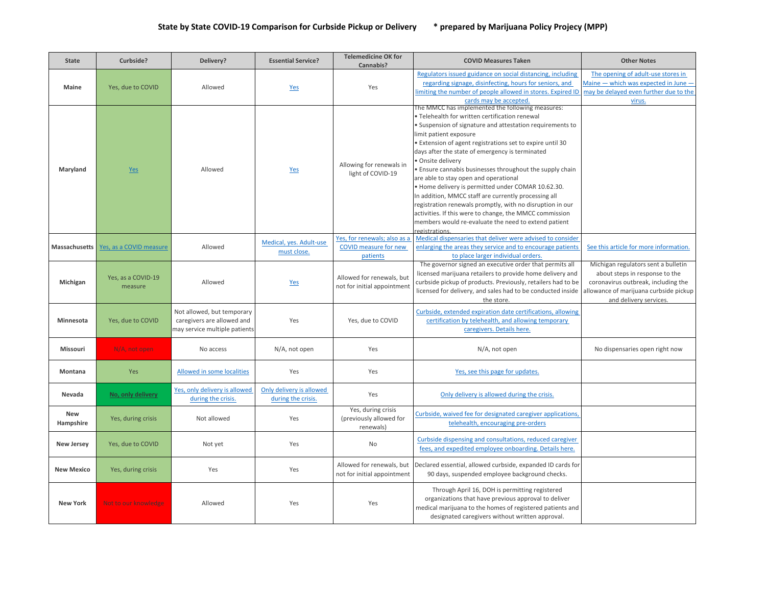| <b>State</b>      | Curbside?                               | Delivery?                                                                                 | <b>Essential Service?</b>                      | <b>Telemedicine OK for</b><br>Cannabis?                                  | <b>COVID Measures Taken</b>                                                                                                                                                                                                                                                                                                                                                                                                                                                                                                                                                                                                                                                                                                                        | <b>Other Notes</b>                                                                                                                                                               |
|-------------------|-----------------------------------------|-------------------------------------------------------------------------------------------|------------------------------------------------|--------------------------------------------------------------------------|----------------------------------------------------------------------------------------------------------------------------------------------------------------------------------------------------------------------------------------------------------------------------------------------------------------------------------------------------------------------------------------------------------------------------------------------------------------------------------------------------------------------------------------------------------------------------------------------------------------------------------------------------------------------------------------------------------------------------------------------------|----------------------------------------------------------------------------------------------------------------------------------------------------------------------------------|
| Maine             | Yes, due to COVID                       | Allowed                                                                                   | Yes                                            | Yes                                                                      | Regulators issued guidance on social distancing, including<br>regarding signage, disinfecting, hours for seniors, and<br>limiting the number of people allowed in stores. Expired ID<br>cards may be accepted.                                                                                                                                                                                                                                                                                                                                                                                                                                                                                                                                     | The opening of adult-use stores in<br>Maine - which was expected in June -<br>may be delayed even further due to the<br>virus.                                                   |
| Maryland          | Yes                                     | Allowed                                                                                   | Yes                                            | Allowing for renewals in<br>light of COVID-19                            | The MMCC has implemented the following measures:<br>. Telehealth for written certification renewal<br>• Suspension of signature and attestation requirements to<br>limit patient exposure<br>. Extension of agent registrations set to expire until 30<br>days after the state of emergency is terminated<br>· Onsite delivery<br>. Ensure cannabis businesses throughout the supply chain<br>are able to stay open and operational<br>. Home delivery is permitted under COMAR 10.62.30.<br>In addition, MMCC staff are currently processing all<br>registration renewals promptly, with no disruption in our<br>activities. If this were to change, the MMCC commission<br>members would re-evaluate the need to extend patient<br>registrations |                                                                                                                                                                                  |
|                   | Massachusetts   Yes, as a COVID measure | Allowed                                                                                   | Medical, yes. Adult-use<br>must close.         | Yes, for renewals; also as a<br><b>COVID measure for new</b><br>patients | Medical dispensaries that deliver were advised to consider<br>enlarging the areas they service and to encourage patients<br>to place larger individual orders.                                                                                                                                                                                                                                                                                                                                                                                                                                                                                                                                                                                     | See this article for more information.                                                                                                                                           |
| Michigan          | Yes, as a COVID-19<br>measure           | Allowed                                                                                   | Yes                                            | Allowed for renewals, but<br>not for initial appointment                 | The governor signed an executive order that permits all<br>licensed marijuana retailers to provide home delivery and<br>curbside pickup of products. Previously, retailers had to be<br>licensed for delivery, and sales had to be conducted inside<br>the store.                                                                                                                                                                                                                                                                                                                                                                                                                                                                                  | Michigan regulators sent a bulletin<br>about steps in response to the<br>coronavirus outbreak, including the<br>allowance of marijuana curbside pickup<br>and delivery services. |
| <b>Minnesota</b>  | Yes, due to COVID                       | Not allowed, but temporary<br>caregivers are allowed and<br>may service multiple patients | Yes                                            | Yes, due to COVID                                                        | Curbside, extended expiration date certifications, allowing<br>certification by telehealth, and allowing temporary<br>caregivers. Details here.                                                                                                                                                                                                                                                                                                                                                                                                                                                                                                                                                                                                    |                                                                                                                                                                                  |
| Missouri          | N/A, not open                           | No access                                                                                 | N/A, not open                                  | Yes                                                                      | N/A, not open                                                                                                                                                                                                                                                                                                                                                                                                                                                                                                                                                                                                                                                                                                                                      | No dispensaries open right now                                                                                                                                                   |
| Montana           | Yes                                     | Allowed in some localities                                                                | Yes                                            | Yes                                                                      | Yes, see this page for updates.                                                                                                                                                                                                                                                                                                                                                                                                                                                                                                                                                                                                                                                                                                                    |                                                                                                                                                                                  |
| Nevada            | No, only delivery                       | Yes, only delivery is allowed<br>during the crisis.                                       | Only delivery is allowed<br>during the crisis. | Yes                                                                      | Only delivery is allowed during the crisis.                                                                                                                                                                                                                                                                                                                                                                                                                                                                                                                                                                                                                                                                                                        |                                                                                                                                                                                  |
| New<br>Hampshire  | Yes, during crisis                      | Not allowed                                                                               | Yes                                            | Yes, during crisis<br>(previously allowed for<br>renewals)               | Curbside, waived fee for designated caregiver applications,<br>telehealth, encouraging pre-orders                                                                                                                                                                                                                                                                                                                                                                                                                                                                                                                                                                                                                                                  |                                                                                                                                                                                  |
| <b>New Jersey</b> | Yes, due to COVID                       | Not yet                                                                                   | Yes                                            | <b>No</b>                                                                | Curbside dispensing and consultations, reduced caregiver<br>fees, and expedited employee onboarding. Details here.                                                                                                                                                                                                                                                                                                                                                                                                                                                                                                                                                                                                                                 |                                                                                                                                                                                  |
| <b>New Mexico</b> | Yes, during crisis                      | Yes                                                                                       | Yes                                            | Allowed for renewals, but<br>not for initial appointment                 | Declared essential, allowed curbside, expanded ID cards for<br>90 days, suspended employee background checks.                                                                                                                                                                                                                                                                                                                                                                                                                                                                                                                                                                                                                                      |                                                                                                                                                                                  |
| <b>New York</b>   | Not to our knowledge                    | Allowed                                                                                   | Yes                                            | Yes                                                                      | Through April 16, DOH is permitting registered<br>organizations that have previous approval to deliver<br>medical marijuana to the homes of registered patients and<br>designated caregivers without written approval.                                                                                                                                                                                                                                                                                                                                                                                                                                                                                                                             |                                                                                                                                                                                  |